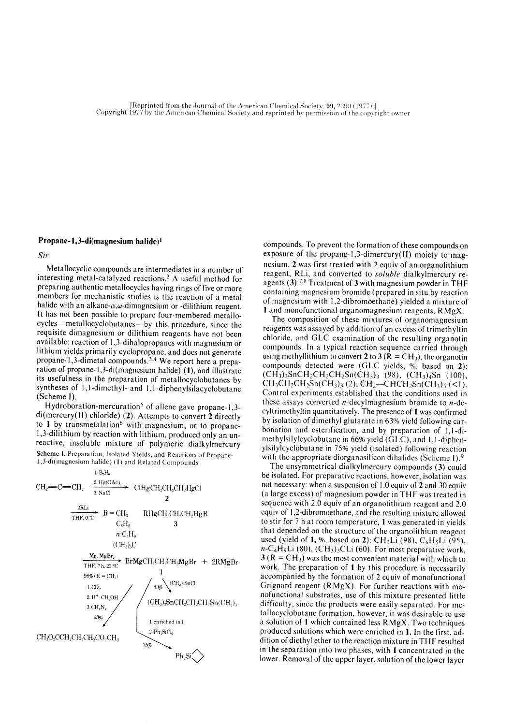## Propane-1,3-di(magnesium halide)<sup>1</sup>

Sir:

Metallocyclic compounds are intermediates in a number of interesting metal-catalyzed reactions.<sup>2</sup> A useful method for preparing authentic metallocycles having rings of five or more members for mechanistic studies is the reaction of a metal halide with an alkane- $\alpha,\omega$ -dimagnesium or -dilithium reagent. lt has not been possible to prepare four-membered metallocycles-metallocyclobutanes-by this procedure, since the requisite dimagnesium or dilithium reagents have not been available: reaction of I,3-dihalopropanes with magnesium or lithium yields primarily cyclopropane, and does not generate propane-1,3-dimetal compounds.<sup>3,4</sup> We report here a preparation of propane-1,3-di(magnesium halide)  $(1)$ , and illustrate its usefulness in the preparation of metallocyclobutanes by syntheses of 1,1-dimethyl- and 1,1-diphenylsilacyclobutane (Scheme I).

Hydroboration-mercuration<sup>5</sup> of allene gave propane-1,3 $di(mercury(II)$  chloride) (2). Attempts to convert 2 directly to 1 by transmetalation<sup>6</sup> with magnesium, or to propane-1,3-dilithium by reaction with lithium, produced only an unreactive, insoluble mixture of polymeric dialkylmercury Scheme I. Preparation, Isolated Yields, and Reactions of Propane- $1,3$ -di(magnesium halide) (1) and Related Compounds



compounds. To prevent the formation of these compounds on exposure of the propane-1,3-dimercury(lI) moiety to magnesium, 2 was first treated with 2 equiv of an organolithium reagent, RLi, and converted to soluble dialkylmercury reagents (3).<sup>7,8</sup> Treatment of 3 with magnesium powder in THF containing magnesium bromide (prepared in situ by reaction of magnesium with 1,2-dibromoethane) yielded a mixture of I and monofunctional organomagnesium reagents, RMgX.

The composition of these mixtures of organomagnesium reagents was assayed by addition of an excess of trimethyltin chloride, and GLC examination of the resulting organotin compounds. In a typical reaction sequence carried through using methyllithium to convert 2 to 3 ( $\overline{R} = \overline{CH}_3$ ), the organotin compounds detected were (GLC yields, %, based on 2):  $(CH_3)$ <sub>3</sub>SnCH<sub>2</sub>CH<sub>2</sub>CH<sub>2</sub>Sn(CH<sub>3</sub>)<sub>3</sub> (98), (CH<sub>3</sub>)<sub>4</sub>Sn (100),  $CH_3CH_2CH_2Sn(CH_3)$ ; (2),  $CH_2=CHCH_2Sn(CH_3)$ ; (<1). Control expcriments established that the conditions used in these assays converted  $n$ -decylmagnesium bromide to  $n$ -decyltrimethyltin quantitatively. The presence of 1 was confirmed by isolation of dimethyl glutarate in 63% yield following carbonation and esterification, and by preparation of 1,1-dimethylsilylcyclobutane in 66% yield (GLC), and 1,1-diphenylsilylcyclobutane in 75% yield (isolated) following reaction with the appropriate diorganosilicon dihalides (Scheme I).<sup>9</sup>

The unsymmetrical dialkylmercury compounds (3) could be isolated. For preparative reactions, however, isolation was not necessary: when a suspension of 1.0 equiv of 2 and 30 equiv (a large excess) of magnesium powder in THF was treated in sequence with 2.0 equiv of an organolithium reagent and 2.0 equiv of 1,2-dibromoethane, and the resulting mixture allowed to stir for 7 h at room temperature, I was generated in yields that depended on the structure of the organolithium reagent used (yield of 1, %, based on 2):  $CH<sub>3</sub>Li$  (98),  $C<sub>6</sub>H<sub>5</sub>Li$  (95),  $n\text{-}C_4H_9Li$  (80), (CH<sub>3</sub>)<sub>3</sub>CLi (60). For most preparative work,  $3 (R = CH<sub>3</sub>)$  was the most convenient material with which to work. The preparation of I by this procedure is necessarily accompanied by the formation of 2 equiv of monofunctional Grignard reagent (RMgX). For further reactions with monofunctional substrates, use of this mixture presented little difficulty, since the products were easily separated. For metallocyclobutane formation, however, it was desirable to use a solution of I which contained less RMgX. Two techniques produced solutions which were enriched in l. In the first, addition of diethyl ether to the reaction mixture in THF resulted in the separation into two phases, with I concentrated in the lower. Removal of the upper layer, solution of the lower layer